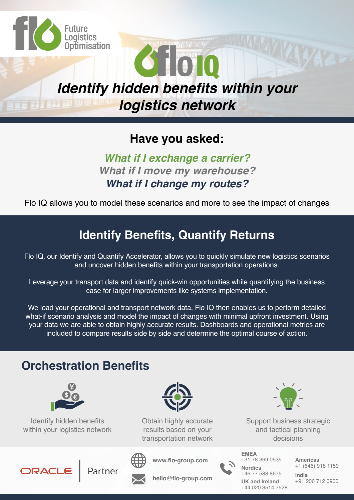

## **Have you asked:**

### **What if I exchange a carrier? What if I move my warehouse? What if I change my routes?**

Flo IQ allows you to model these scenarios and more to see the impact of changes

## **Identify Benefits, Quantify Returns**

Flo IQ, our Identify and Quantify Accelerator, allows you to quickly simulate new logistics scenarios and uncover hidden benefits within your transportation operations.

Leverage your transport data and identify quick-win opportunities while quantifying the business case for larger improvements like systems implementation.

We load your operational and transport network data, Flo IQ then enables us to perform detailed what-if scenario analysis and model the impact of changes with minimal upfront investment. Using your data we are able to obtain highly accurate results. Dashboards and operational metrics are included to compare results side by side and determine the optimal course of action.

## **Orchestration Benefits**



Identify hidden benefits within your logistics network



Obtain highly accurate results based on your transportation network



Partner

**www.flo-group.com**

**hello@flo-group.com**



**Nordics** +46 77 588 8675 **India** +44 020 3514 7528 **EMEA** +31 78 369 0535 **Americas**

Support business strategic and tactical planning decisions

+1 (646) 918 1159

**UK and Ireland** +91 206 712 0900